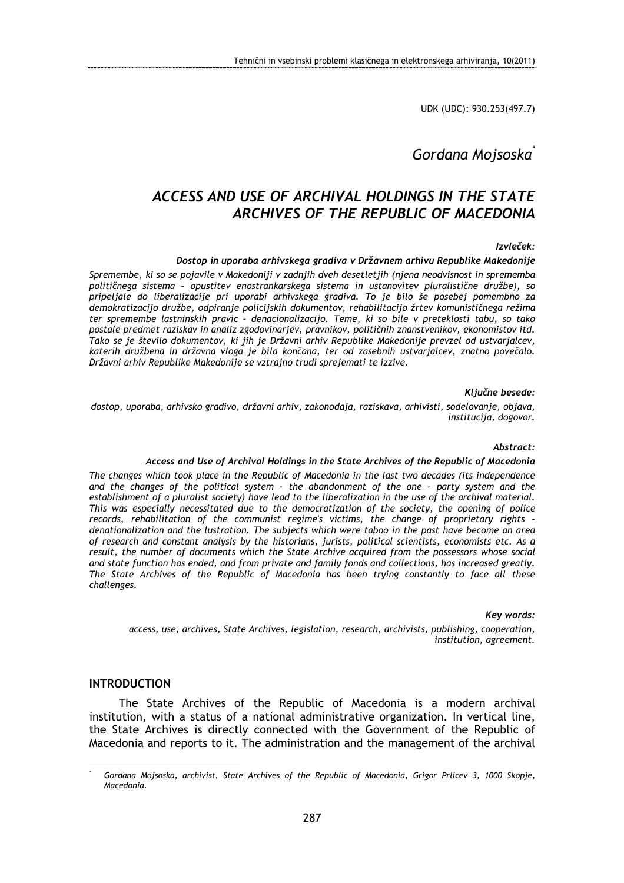UDK (UDC): 930.253(497.7)

# Gordana Mojsoska<sup>\*</sup>

# ACCESS AND USE OF ARCHIVAL HOLDINGS IN THE STATE ARCHIVES OF THE REPUBLIC OF MACEDONIA

### Izvleček:

### Dostop in uporaba arhivskega gradiva v Državnem arhivu Republike Makedonije

Spremembe, ki so se pojavile v Makedoniji v zadnjih dveh desetletjih (njena neodvisnost in sprememba političnega sistema – opustitev enostrankarskega sistema in ustanovitev pluralistične družbe), so pripeljale do liberalizacije pri uporabi arhivskega gradiva. To je bilo še posebej pomembno za demokratizacijo družbe, odpiranje policijskih dokumentov, rehabilitacijo žrtev komunističnega režima ter spremembe lastninskih pravic – denacionalizacijo. Teme, ki so bile v preteklosti tabu, so tako postale predmet raziskav in analiz zgodovinarjev, pravnikov, političnih znanstvenikov, ekonomistov itd. Tako se je število dokumentov, ki jih je Državni arhiv Republike Makedonije prevzel od ustvarjalcev, katerih družbena in državna vloga je bila končana, ter od zasebnih ustvarjalcev, znatno povečalo. Državni arhiv Republike Makedonije se vztrajno trudi sprejemati te izzive.

#### Ključne besede:

dostop, uporaba, arhivsko gradivo, državni arhiv, zakonodaja, raziskava, arhivisti, sodelovanje, objava, institucija, dogovor.

#### Abstract:

#### Access and Use of Archival Holdings in the State Archives of the Republic of Macedonia

The changes which took place in the Republic of Macedonia in the last two decades (its independence and the changes of the political system - the abandonment of the one - party system and the establishment of a pluralist society) have lead to the liberalization in the use of the archival material. This was especially necessitated due to the democratization of the society, the opening of police records, rehabilitation of the communist regime's victims, the change of proprietary rights denationalization and the lustration. The subjects which were taboo in the past have become an area of research and constant analysis by the historians, jurists, political scientists, economists etc. As a result, the number of documents which the State Archive acquired from the possessors whose social and state function has ended, and from private and family fonds and collections, has increased greatly. The State Archives of the Republic of Macedonia has been trying constantly to face all these challenges.

#### Key words:

access, use, archives, State Archives, legislation, research, archivists, publishing, cooperation, institution, agreement.

## INTRODUCTION

 $\overline{a}$ \*

The State Archives of the Republic of Macedonia is a modern archival institution, with a status of a national administrative organization. In vertical line, the State Archives is directly connected with the Government of the Republic of Macedonia and reports to it. The administration and the management of the archival

Gordana Mojsoska, archivist, State Archives of the Republic of Macedonia, Grigor Prlicev 3, 1000 Skopje, Macedonia.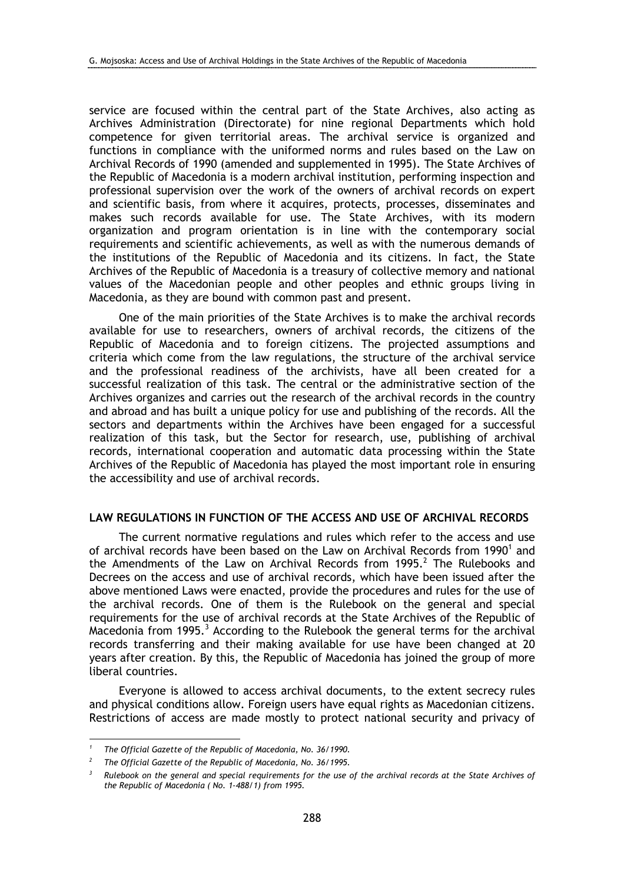service are focused within the central part of the State Archives, also acting as Archives Administration (Directorate) for nine regional Departments which hold competence for given territorial areas. The archival service is organized and functions in compliance with the uniformed norms and rules based on the Law on Archival Records of 1990 (amended and supplemented in 1995). The State Archives of the Republic of Macedonia is a modern archival institution, performing inspection and professional supervision over the work of the owners of archival records on expert and scientific basis, from where it acquires, protects, processes, disseminates and makes such records available for use. The State Archives, with its modern organization and program orientation is in line with the contemporary social requirements and scientific achievements, as well as with the numerous demands of the institutions of the Republic of Macedonia and its citizens. In fact, the State Archives of the Republic of Macedonia is a treasury of collective memory and national values of the Macedonian people and other peoples and ethnic groups living in Macedonia, as they are bound with common past and present.

One of the main priorities of the State Archives is to make the archival records available for use to researchers, owners of archival records, the citizens of the Republic of Macedonia and to foreign citizens. The projected assumptions and criteria which come from the law regulations, the structure of the archival service and the professional readiness of the archivists, have all been created for a successful realization of this task. The central or the administrative section of the Archives organizes and carries out the research of the archival records in the country and abroad and has built a unique policy for use and publishing of the records. All the sectors and departments within the Archives have been engaged for a successful realization of this task, but the Sector for research, use, publishing of archival records, international cooperation and automatic data processing within the State Archives of the Republic of Macedonia has played the most important role in ensuring the accessibility and use of archival records.

## LAW REGULATIONS IN FUNCTION OF THE ACCESS AND USE OF ARCHIVAL RECORDS

The current normative regulations and rules which refer to the access and use of archival records have been based on the Law on Archival Records from 1990<sup>1</sup> and the Amendments of the Law on Archival Records from 1995. $^2$  The Rulebooks and Decrees on the access and use of archival records, which have been issued after the above mentioned Laws were enacted, provide the procedures and rules for the use of the archival records. One of them is the Rulebook on the general and special requirements for the use of archival records at the State Archives of the Republic of Macedonia from 1995. $3$  According to the Rulebook the general terms for the archival records transferring and their making available for use have been changed at 20 years after creation. By this, the Republic of Macedonia has joined the group of more liberal countries.

Everyone is allowed to access archival documents, to the extent secrecy rules and physical conditions allow. Foreign users have equal rights as Macedonian citizens. Restrictions of access are made mostly to protect national security and privacy of

 $\overline{a}$ 

<sup>1</sup> The Official Gazette of the Republic of Macedonia, No. 36/1990.

<sup>2</sup> The Official Gazette of the Republic of Macedonia, No. 36/1995.

<sup>3</sup> Rulebook on the general and special requirements for the use of the archival records at the State Archives of the Republic of Macedonia ( No. 1-488/1) from 1995.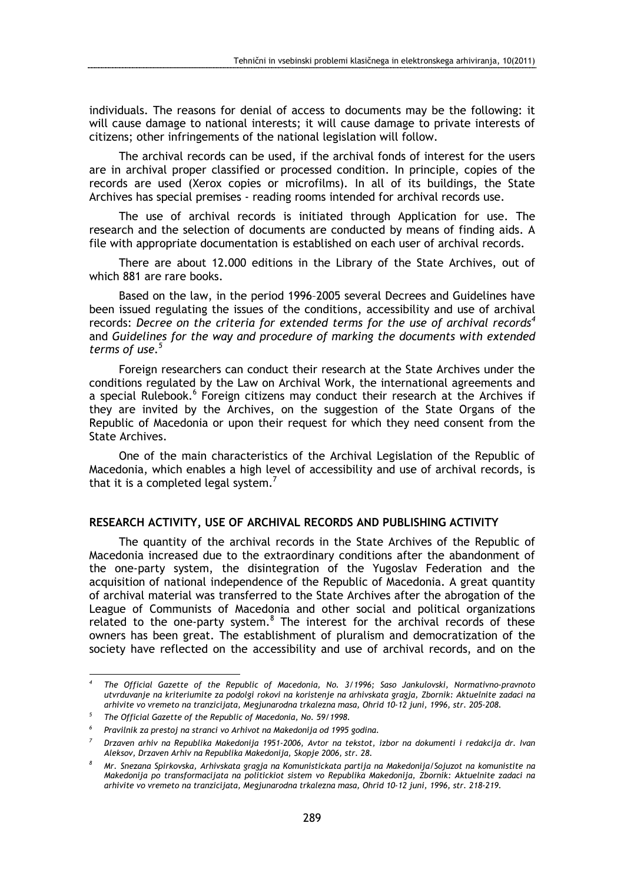individuals. The reasons for denial of access to documents may be the following: it will cause damage to national interests; it will cause damage to private interests of citizens; other infringements of the national legislation will follow.

The archival records can be used, if the archival fonds of interest for the users are in archival proper classified or processed condition. In principle, copies of the records are used (Xerox copies or microfilms). In all of its buildings, the State Archives has special premises - reading rooms intended for archival records use.

The use of archival records is initiated through Application for use. The research and the selection of documents are conducted by means of finding aids. A file with appropriate documentation is established on each user of archival records.

There are about 12.000 editions in the Library of the State Archives, out of which 881 are rare books.

Based on the law, in the period 1996–2005 several Decrees and Guidelines have been issued regulating the issues of the conditions, accessibility and use of archival records: Decree on the criteria for extended terms for the use of archival records<sup>4</sup> and Guidelines for the way and procedure of marking the documents with extended terms of use. $5$ 

Foreign researchers can conduct their research at the State Archives under the conditions regulated by the Law on Archival Work, the international agreements and a special Rulebook.<sup>6</sup> Foreign citizens may conduct their research at the Archives if they are invited by the Archives, on the suggestion of the State Organs of the Republic of Macedonia or upon their request for which they need consent from the State Archives.

One of the main characteristics of the Archival Legislation of the Republic of Macedonia, which enables a high level of accessibility and use of archival records, is that it is a completed legal system.<sup>7</sup>

## RESEARCH ACTIVITY, USE OF ARCHIVAL RECORDS AND PUBLISHING ACTIVITY

The quantity of the archival records in the State Archives of the Republic of Macedonia increased due to the extraordinary conditions after the abandonment of the one-party system, the disintegration of the Yugoslav Federation and the acquisition of national independence of the Republic of Macedonia. A great quantity of archival material was transferred to the State Archives after the abrogation of the League of Communists of Macedonia and other social and political organizations related to the one-party system. $8$  The interest for the archival records of these owners has been great. The establishment of pluralism and democratization of the society have reflected on the accessibility and use of archival records, and on the

 $\overline{a}$ 

<sup>4</sup> The Official Gazette of the Republic of Macedonia, No. 3/1996; Saso Jankulovski, Normativno-pravnoto utvrduvanje na kriteriumite za podolgi rokovi na koristenje na arhivskata gragja, Zbornik: Aktuelnite zadaci na arhivite vo vremeto na tranzicijata, Megjunarodna trkalezna masa, Ohrid 10-12 juni, 1996, str. 205-208.

<sup>5</sup> The Official Gazette of the Republic of Macedonia, No. 59/1998.

<sup>6</sup> Pravilnik za prestoj na stranci vo Arhivot na Makedonija od 1995 godina.

<sup>7</sup> Drzaven arhiv na Republika Makedonija 1951-2006, Avtor na tekstot, izbor na dokumenti i redakcija dr. Ivan Aleksov, Drzaven Arhiv na Republika Makedonija, Skopje 2006, str. 28.

<sup>8</sup> Mr. Snezana Spirkovska, Arhivskata gragja na Komunistickata partija na Makedonija/Sojuzot na komunistite na Makedonija po transformacijata na politickiot sistem vo Republika Makedonija, Zbornik: Aktuelnite zadaci na arhivite vo vremeto na tranzicijata, Megjunarodna trkalezna masa, Ohrid 10-12 juni, 1996, str. 218-219.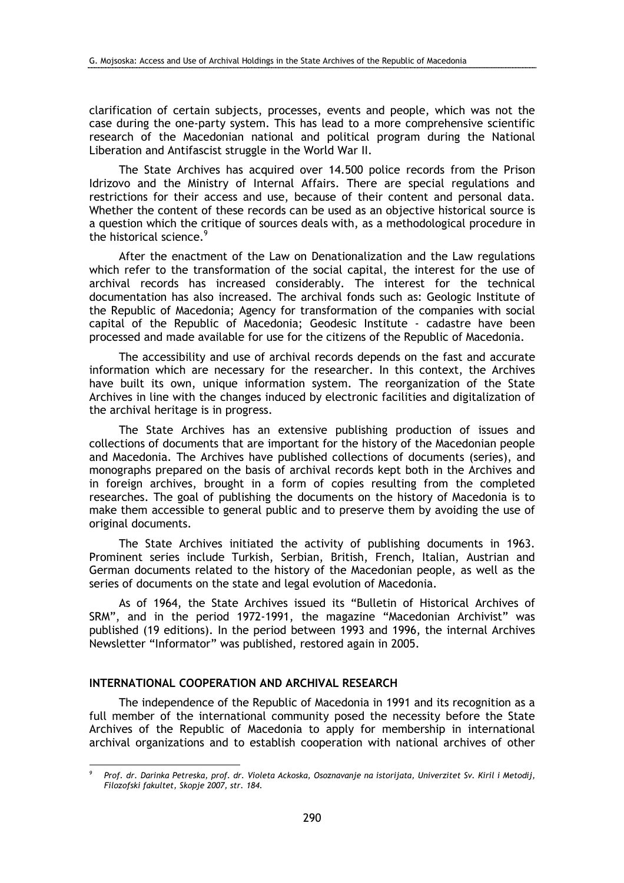clarification of certain subjects, processes, events and people, which was not the case during the one-party system. This has lead to a more comprehensive scientific research of the Macedonian national and political program during the National Liberation and Antifascist struggle in the World War II.

The State Archives has acquired over 14.500 police records from the Prison Idrizovo and the Ministry of Internal Affairs. There are special regulations and restrictions for their access and use, because of their content and personal data. Whether the content of these records can be used as an objective historical source is a question which the critique of sources deals with, as a methodological procedure in the historical science.<sup>9</sup>

After the enactment of the Law on Denationalization and the Law regulations which refer to the transformation of the social capital, the interest for the use of archival records has increased considerably. The interest for the technical documentation has also increased. The archival fonds such as: Geologic Institute of the Republic of Macedonia; Agency for transformation of the companies with social capital of the Republic of Macedonia; Geodesic Institute - cadastre have been processed and made available for use for the citizens of the Republic of Macedonia.

The accessibility and use of archival records depends on the fast and accurate information which are necessary for the researcher. In this context, the Archives have built its own, unique information system. The reorganization of the State Archives in line with the changes induced by electronic facilities and digitalization of the archival heritage is in progress.

The State Archives has an extensive publishing production of issues and collections of documents that are important for the history of the Macedonian people and Macedonia. The Archives have published collections of documents (series), and monographs prepared on the basis of archival records kept both in the Archives and in foreign archives, brought in a form of copies resulting from the completed researches. The goal of publishing the documents on the history of Macedonia is to make them accessible to general public and to preserve them by avoiding the use of original documents.

The State Archives initiated the activity of publishing documents in 1963. Prominent series include Turkish, Serbian, British, French, Italian, Austrian and German documents related to the history of the Macedonian people, as well as the series of documents on the state and legal evolution of Macedonia.

As of 1964, the State Archives issued its "Bulletin of Historical Archives of SRM", and in the period 1972-1991, the magazine "Macedonian Archivist" was published (19 editions). In the period between 1993 and 1996, the internal Archives Newsletter "Informator" was published, restored again in 2005.

# INTERNATIONAL COOPERATION AND ARCHIVAL RESEARCH

 $\overline{a}$ 

The independence of the Republic of Macedonia in 1991 and its recognition as a full member of the international community posed the necessity before the State Archives of the Republic of Macedonia to apply for membership in international archival organizations and to establish cooperation with national archives of other

<sup>9</sup> Prof. dr. Darinka Petreska, prof. dr. Violeta Ackoska, Osoznavanje na istorijata, Univerzitet Sv. Kiril i Metodij, Filozofski fakultet, Skopje 2007, str. 184.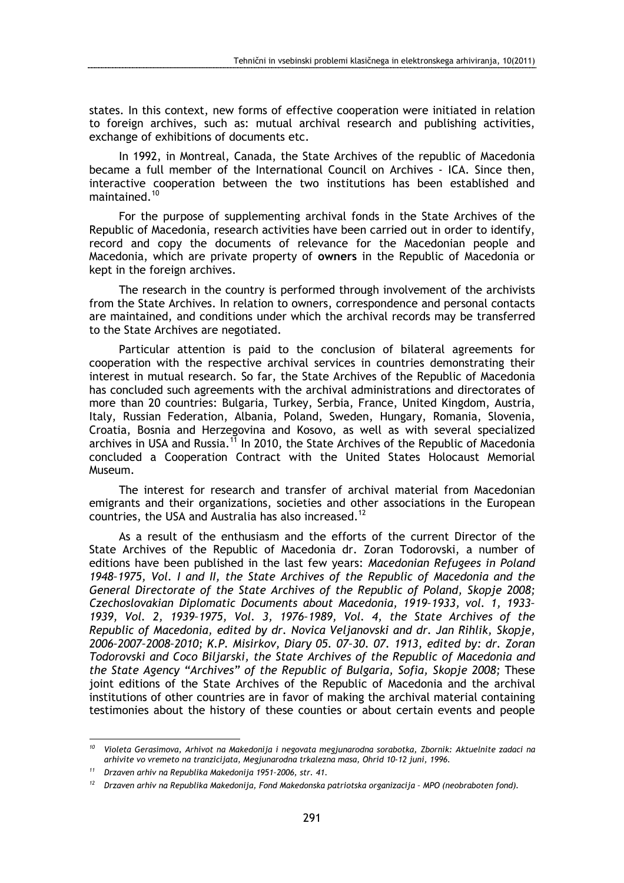states. In this context, new forms of effective cooperation were initiated in relation to foreign archives, such as: mutual archival research and publishing activities, exchange of exhibitions of documents etc.

In 1992, in Montreal, Canada, the State Archives of the republic of Macedonia became a full member of the International Council on Archives - ICA. Since then, interactive cooperation between the two institutions has been established and maintained.<sup>10</sup>

For the purpose of supplementing archival fonds in the State Archives of the Republic of Macedonia, research activities have been carried out in order to identify, record and copy the documents of relevance for the Macedonian people and Macedonia, which are private property of owners in the Republic of Macedonia or kept in the foreign archives.

The research in the country is performed through involvement of the archivists from the State Archives. In relation to owners, correspondence and personal contacts are maintained, and conditions under which the archival records may be transferred to the State Archives are negotiated.

Particular attention is paid to the conclusion of bilateral agreements for cooperation with the respective archival services in countries demonstrating their interest in mutual research. So far, the State Archives of the Republic of Macedonia has concluded such agreements with the archival administrations and directorates of more than 20 countries: Bulgaria, Turkey, Serbia, France, United Kingdom, Austria, Italy, Russian Federation, Albania, Poland, Sweden, Hungary, Romania, Slovenia, Croatia, Bosnia and Herzegovina and Kosovo, as well as with several specialized archives in USA and Russia.<sup>11</sup> In 2010, the State Archives of the Republic of Macedonia concluded a Cooperation Contract with the United States Holocaust Memorial Museum.

The interest for research and transfer of archival material from Macedonian emigrants and their organizations, societies and other associations in the European countries, the USA and Australia has also increased.<sup>12</sup>

As a result of the enthusiasm and the efforts of the current Director of the State Archives of the Republic of Macedonia dr. Zoran Todorovski, a number of editions have been published in the last few years: Macedonian Refugees in Poland 1948–1975, Vol. I and II, the State Archives of the Republic of Macedonia and the General Directorate of the State Archives of the Republic of Poland, Skopje 2008; Czechoslovakian Diplomatic Documents about Macedonia, 1919–1933, vol. 1, 1933– 1939, Vol. 2, 1939–1975, Vol. 3, 1976–1989, Vol. 4, the State Archives of the Republic of Macedonia, edited by dr. Novica Veljanovski and dr. Jan Rihlik, Skopje, 2006–2007–2008–2010; K.P. Misirkov, Diary 05. 07–30. 07. 1913, edited by: dr. Zoran Todorovski and Coco Biljarski, the State Archives of the Republic of Macedonia and the State Agency "Archives" of the Republic of Bulgaria, Sofia, Skopje 2008; These joint editions of the State Archives of the Republic of Macedonia and the archival institutions of other countries are in favor of making the archival material containing testimonies about the history of these counties or about certain events and people

 $\overline{a}$ 

 $10$  Violeta Gerasimova, Arhivot na Makedonija i negovata megjunarodna sorabotka, Zbornik: Aktuelnite zadaci na arhivite vo vremeto na tranzicijata, Megjunarodna trkalezna masa, Ohrid 10-12 juni, 1996.

<sup>11</sup> Drzaven arhiv na Republika Makedonija 1951–2006, str. 41.

 $12$  Drzaven arhiv na Republika Makedonija, Fond Makedonska patriotska organizacija - MPO (neobraboten fond).